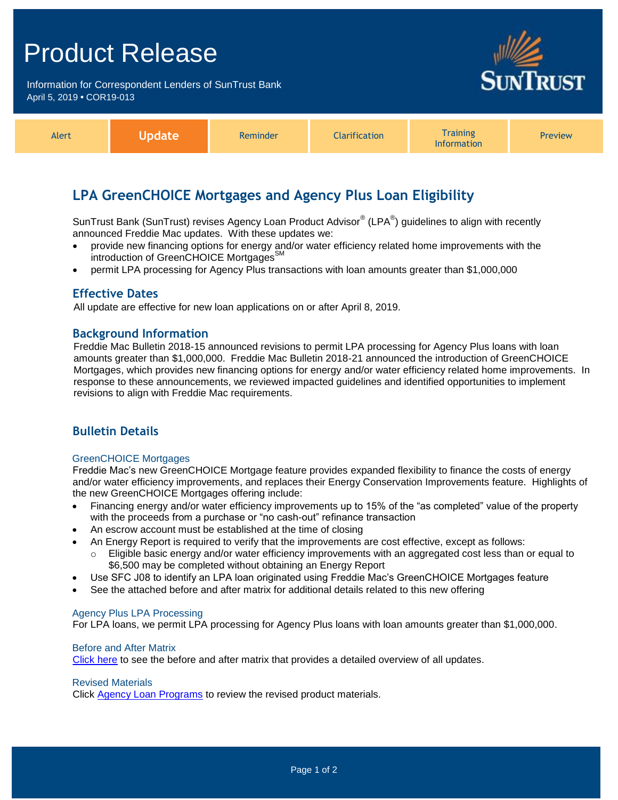# Product Release

Information for Correspondent Lenders of SunTrust Bank April 5, 2019 **•** COR19-013



| Alert | pgate | Reminder | <b>Iarification</b> | <b>Training</b><br><b>Information</b> | Preview |
|-------|-------|----------|---------------------|---------------------------------------|---------|
|-------|-------|----------|---------------------|---------------------------------------|---------|

## **LPA GreenCHOICE Mortgages and Agency Plus Loan Eligibility**

SunTrust Bank (SunTrust) revises Agency Loan Product Advisor $^{\circledast}$  (LPA $^{\circledast}$ ) guidelines to align with recently announced Freddie Mac updates. With these updates we:

- provide new financing options for energy and/or water efficiency related home improvements with the introduction of GreenCHOICE Mortgages<sup>SM</sup>
- permit LPA processing for Agency Plus transactions with loan amounts greater than \$1,000,000

### **Effective Dates**

All update are effective for new loan applications on or after April 8, 2019.

#### **Background Information**

Freddie Mac Bulletin 2018-15 announced revisions to permit LPA processing for Agency Plus loans with loan amounts greater than \$1,000,000. Freddie Mac Bulletin 2018-21 announced the introduction of GreenCHOICE Mortgages, which provides new financing options for energy and/or water efficiency related home improvements. In response to these announcements, we reviewed impacted guidelines and identified opportunities to implement revisions to align with Freddie Mac requirements.

## **Bulletin Details**

#### GreenCHOICE Mortgages

Freddie Mac's new GreenCHOICE Mortgage feature provides expanded flexibility to finance the costs of energy and/or water efficiency improvements, and replaces their Energy Conservation Improvements feature. Highlights of the new GreenCHOICE Mortgages offering include:

- Financing energy and/or water efficiency improvements up to 15% of the "as completed" value of the property with the proceeds from a purchase or "no cash-out" refinance transaction
- An escrow account must be established at the time of closing
- An Energy Report is required to verify that the improvements are cost effective, except as follows:
- Eligible basic energy and/or water efficiency improvements with an aggregated cost less than or equal to \$6,500 may be completed without obtaining an Energy Report
- Use SFC J08 to identify an LPA loan originated using Freddie Mac's GreenCHOICE Mortgages feature
- See the attached before and after matrix for additional details related to this new offering

#### Agency Plus LPA Processing

For LPA loans, we permit LPA processing for Agency Plus loans with loan amounts greater than \$1,000,000.

#### Before and After Matrix

[Click here](http://www.truistsellerguide.com/manual/cor/products/Cr19-013BA.pdf) to see the before and after matrix that provides a detailed overview of all updates.

#### Revised Materials

Click [Agency Loan Programs](https://www.truistsellerguide.com/manual/cor/products/CAgency.pdf) to review the revised product materials.